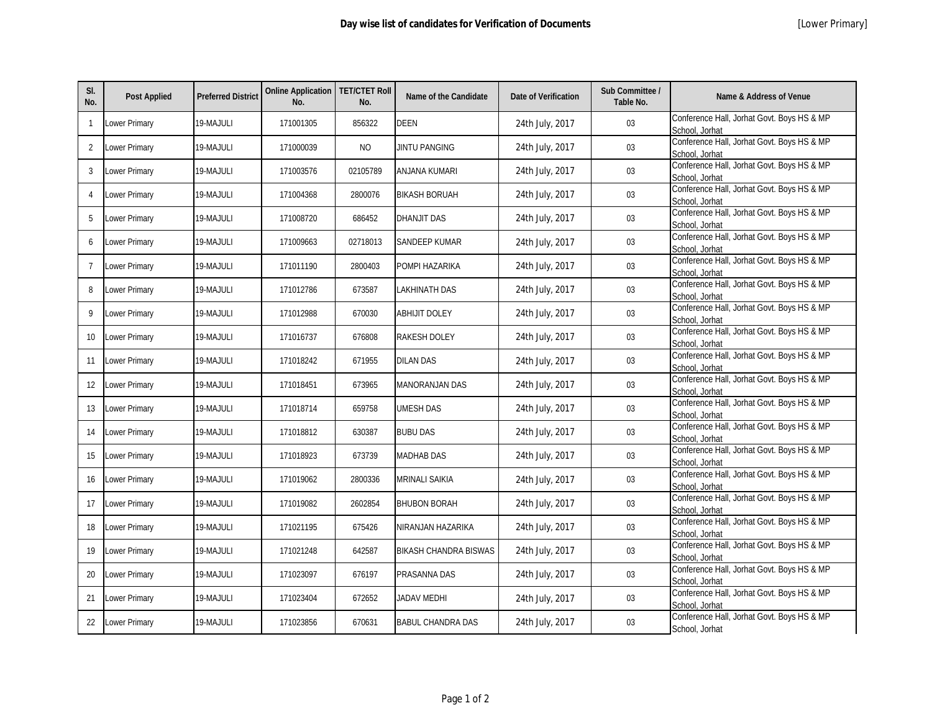| SI.<br>No.     | <b>Post Applied</b> | <b>Preferred District</b> | <b>Online Application   TET/CTET Roll</b><br>No. | No.      | <b>Name of the Candidate</b> | <b>Date of Verification</b> | Sub Committee /<br>Table No. | <b>Name &amp; Address of Venue</b>                           |
|----------------|---------------------|---------------------------|--------------------------------------------------|----------|------------------------------|-----------------------------|------------------------------|--------------------------------------------------------------|
| $\mathbf{1}$   | Lower Primary       | 19-MAJULI                 | 171001305                                        | 856322   | <b>DEEN</b>                  | 24th July, 2017             | 03                           | Conference Hall, Jorhat Govt. Boys HS & MP<br>School, Jorhat |
| 2              | Lower Primary       | 19-MAJULI                 | 171000039                                        | NO.      | JINTU PANGING                | 24th July, 2017             | 03                           | Conference Hall, Jorhat Govt. Boys HS & MP<br>School, Jorhat |
| 3              | Lower Primary       | 19-MAJULI                 | 171003576                                        | 02105789 | <b>ANJANA KUMARI</b>         | 24th July, 2017             | 03                           | Conference Hall, Jorhat Govt. Boys HS & MP<br>School, Jorhat |
| $\overline{4}$ | Lower Primary       | 19-MAJULI                 | 171004368                                        | 2800076  | <b>BIKASH BORUAH</b>         | 24th July, 2017             | 03                           | Conference Hall, Jorhat Govt. Boys HS & MP<br>School, Jorhat |
| 5              | Lower Primary       | 19-MAJULI                 | 171008720                                        | 686452   | <b>DHANJIT DAS</b>           | 24th July, 2017             | 03                           | Conference Hall, Jorhat Govt. Boys HS & MP<br>School, Jorhat |
| 6              | Lower Primary       | 19-MAJULI                 | 171009663                                        | 02718013 | <b>SANDEEP KUMAR</b>         | 24th July, 2017             | 03                           | Conference Hall, Jorhat Govt. Boys HS & MP<br>School, Jorhat |
| $\overline{7}$ | Lower Primary       | 19-MAJULI                 | 171011190                                        | 2800403  | POMPI HAZARIKA               | 24th July, 2017             | 03                           | Conference Hall, Jorhat Govt. Boys HS & MP<br>School, Jorhat |
| 8              | Lower Primary       | 19-MAJULI                 | 171012786                                        | 673587   | LAKHINATH DAS                | 24th July, 2017             | 03                           | Conference Hall, Jorhat Govt. Boys HS & MP<br>School, Jorhat |
| 9              | Lower Primary       | 19-MAJULI                 | 171012988                                        | 670030   | <b>ABHIJIT DOLEY</b>         | 24th July, 2017             | 03                           | Conference Hall, Jorhat Govt. Boys HS & MP<br>School, Jorhat |
| 10             | Lower Primary       | 19-MAJULI                 | 171016737                                        | 676808   | <b>RAKESH DOLEY</b>          | 24th July, 2017             | 03                           | Conference Hall, Jorhat Govt. Boys HS & MP<br>School, Jorhat |
| 11             | Lower Primary       | 19-MAJULI                 | 171018242                                        | 671955   | <b>DILAN DAS</b>             | 24th July, 2017             | 03                           | Conference Hall, Jorhat Govt. Boys HS & MP<br>School, Jorhat |
| 12             | Lower Primary       | 19-MAJULI                 | 171018451                                        | 673965   | <b>MANORANJAN DAS</b>        | 24th July, 2017             | 03                           | Conference Hall, Jorhat Govt. Boys HS & MP<br>School, Jorhat |
| 13             | Lower Primary       | 19-MAJULI                 | 171018714                                        | 659758   | <b>UMESH DAS</b>             | 24th July, 2017             | 03                           | Conference Hall, Jorhat Govt. Boys HS & MP<br>School, Jorhat |
| 14             | Lower Primary       | 19-MAJULI                 | 171018812                                        | 630387   | <b>BUBU DAS</b>              | 24th July, 2017             | 03                           | Conference Hall, Jorhat Govt. Boys HS & MP<br>School, Jorhat |
| 15             | Lower Primary       | 19-MAJULI                 | 171018923                                        | 673739   | <b>MADHAB DAS</b>            | 24th July, 2017             | 03                           | Conference Hall, Jorhat Govt. Boys HS & MP<br>School, Jorhat |
| 16             | Lower Primary       | 19-MAJULI                 | 171019062                                        | 2800336  | <b>MRINALI SAIKIA</b>        | 24th July, 2017             | 03                           | Conference Hall, Jorhat Govt. Boys HS & MP<br>School, Jorhat |
| 17             | Lower Primary       | 19-MAJULI                 | 171019082                                        | 2602854  | <b>BHUBON BORAH</b>          | 24th July, 2017             | 03                           | Conference Hall, Jorhat Govt. Boys HS & MP<br>School, Jorhat |
| 18             | ower Primary        | 19-MAJULI                 | 171021195                                        | 675426   | NIRANJAN HAZARIKA            | 24th July, 2017             | 03                           | Conference Hall, Jorhat Govt. Boys HS & MP<br>School, Jorhat |
| 19             | Lower Primary       | 19-MAJULI                 | 171021248                                        | 642587   | <b>BIKASH CHANDRA BISWAS</b> | 24th July, 2017             | 03                           | Conference Hall, Jorhat Govt. Boys HS & MP<br>School, Jorhat |
| 20             | Lower Primary       | 19-MAJULI                 | 171023097                                        | 676197   | PRASANNA DAS                 | 24th July, 2017             | 03                           | Conference Hall, Jorhat Govt. Boys HS & MP<br>School, Jorhat |
| 21             | Lower Primary       | 19-MAJULI                 | 171023404                                        | 672652   | <b>JADAV MEDHI</b>           | 24th July, 2017             | 03                           | Conference Hall, Jorhat Govt. Boys HS & MP<br>School, Jorhat |
| 22             | Lower Primary       | 19-MAJULI                 | 171023856                                        | 670631   | <b>BABUL CHANDRA DAS</b>     | 24th July, 2017             | 03                           | Conference Hall, Jorhat Govt. Boys HS & MP<br>School, Jorhat |